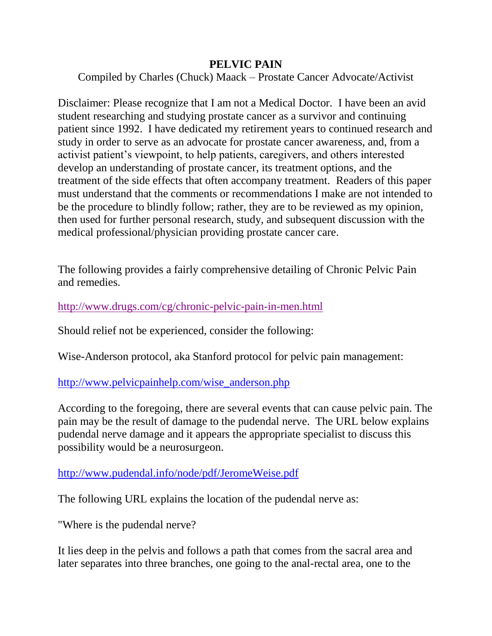## **PELVIC PAIN**

Compiled by Charles (Chuck) Maack – Prostate Cancer Advocate/Activist

Disclaimer: Please recognize that I am not a Medical Doctor. I have been an avid student researching and studying prostate cancer as a survivor and continuing patient since 1992. I have dedicated my retirement years to continued research and study in order to serve as an advocate for prostate cancer awareness, and, from a activist patient's viewpoint, to help patients, caregivers, and others interested develop an understanding of prostate cancer, its treatment options, and the treatment of the side effects that often accompany treatment. Readers of this paper must understand that the comments or recommendations I make are not intended to be the procedure to blindly follow; rather, they are to be reviewed as my opinion, then used for further personal research, study, and subsequent discussion with the medical professional/physician providing prostate cancer care.

The following provides a fairly comprehensive detailing of Chronic Pelvic Pain and remedies.

<http://www.drugs.com/cg/chronic-pelvic-pain-in-men.html>

Should relief not be experienced, consider the following:

Wise-Anderson protocol, aka Stanford protocol for pelvic pain management:

[http://www.pelvicpainhelp.com/wise\\_anderson.php](http://www.pelvicpainhelp.com/wise_anderson.php)

According to the foregoing, there are several events that can cause pelvic pain. The pain may be the result of damage to the pudendal nerve. The URL below explains pudendal nerve damage and it appears the appropriate specialist to discuss this possibility would be a neurosurgeon.

<http://www.pudendal.info/node/pdf/JeromeWeise.pdf>

The following URL explains the location of the pudendal nerve as:

"Where is the pudendal nerve?

It lies deep in the pelvis and follows a path that comes from the sacral area and later separates into three branches, one going to the anal-rectal area, one to the